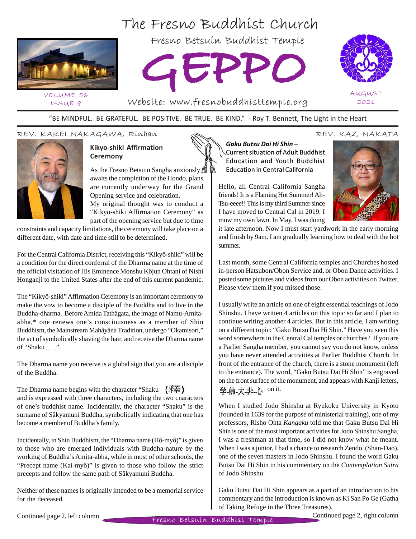

VOLUME 56

# The Fresno Buddhist Church

Fresno Betsuin Buddhist Temple





AUGUST 2021

ISSUE 8 Website: www.fresnobuddhisttemple.org

"BE MINDFUL. BE GRATEFUL. BE POSITIVE. BE TRUE. BE KIND." - Roy T. Bennett, The Light in the Heart

## REV. KAKEI NAKAGAWA, RÍNBAN REV. KAZ NAKATA



# Kikyo-shiki Affirmation **Ceremony**

As the Fresno Betsuin Sangha anxiously  $\sqrt{m}$ awaits the completion of the Hondo, plans are currently underway for the Grand Opening service and celebration.

My original thought was to conduct a "Kikyo-shiki Affirmation Ceremony" as part of the opening service but due to time

constraints and capacity limitations, the ceremony will take place on a different date, with date and time still to be determined.

For the Central California District, receiving this "Kikyô-shiki" will be a condition for the direct conferral of the Dharma name at the time of the official visitation of His Eminence Monshu Kôjun Ohtani of Nishi Honganji to the United States after the end of this current pandemic.

The "Kikyô-shiki" Affirmation Ceremony is an important ceremony to make the vow to become a disciple of the Buddha and to live in the Buddha-dharma. Before Amida Tathâgata, the image of Namu-Amitaabha,\* one renews one's consciousness as a member of Shin Buddhism, the Mainstream Mahâyâna Tradition, undergo "Okamisori," the act of symbolically shaving the hair, and receive the Dharma name of "Shaku  $\_\$ ".

The Dharma name you receive is a global sign that you are a disciple of the Buddha.

The Dharma name begins with the character "Shaku  $(\mathbb{H}^{\pm})$ " and is expressed with three characters, including the two characters of one's buddhist name. Incidentally, the character "Shaku" is the surname of Sâkyamuni Buddha, symbolically indicating that one has become a member of Buddha's family.

Incidentally, in Shin Buddhism, the "Dharma name (Hô-myô)" is given to those who are emerged individuals with Buddha-nature by the working of Buddha's Amita-abha, while in most of other schools, the "Precept name (Kai-myô)" is given to those who follow the strict precepts and follow the same path of Sâkyamuni Buddha.

Neither of these names is originally intended to be a memorial service for the deceased.

Gaku Butsu Dai Hi Shin – Current situation of Adult Buddhist Education and Youth Buddhist<br>Education in Central California

Hello, all Central California Sangha friends! It is a Flaming Hot Summer! Ah-Tsu-eeee!! This is my third Summer since I have moved to Central Cal in 2019. I mow my own lawn. In May, I was doing

it late afternoon. Now I must start yardwork in the early morning and finish by 9am. I am gradually learning how to deal with the hot summer.

Last month, some Central California temples and Churches hosted in-person Hatsubon/Obon Service and, or Obon Dance activities. I posted some pictures and videos from our Obon activities on Twitter. Please view them if you missed those.

I usually write an article on one of eight essential teachings of Jodo Shinshu. I have written 4 articles on this topic so far and I plan to continue writing another 4 articles. But in this article, I am writing on a different topic: "Gaku Butsu Dai Hi Shin." Have you seen this word somewhere in the Central Cal temples or churches? If you are a Parlier Sangha member, you cannot say you do not know, unless you have never attended activities at Parlier Buddhist Church. In front of the entrance of the church, there is a stone monument (left to the entrance). The word, "Gaku Butsu Dai Hi Shin" is engraved on the front surface of the monument, and appears with Kanji letters, on it. 学–佛–大–非–心

When I studied Jodo Shinshu at Ryukoku University in Kyoto (founded in 1639 for the purpose of ministerial training), one of my professors, Risho Ohta *Kangaku* told me that Gaku Butsu Dai Hi Shin is one of the most important activities for Jodo Shinshu Sangha. I was a freshman at that time, so I did not know what he meant. When I was a junior, I had a chance to research Zendo, (Shan-Dao), one of the seven masters in Jodo Shinshu. I found the word Gaku Butsu Dai Hi Shin in his commentary on the *Contemplation Sutra* of Jodo Shinshu.

Gaku Butsu Dai Hi Shin appears as a part of an introduction to his commentary and the introduction is known as Ki San Po Ge (Gatha of Taking Refuge in the Three Treasures).



Continued page 2, left column

Continued page 2, right column